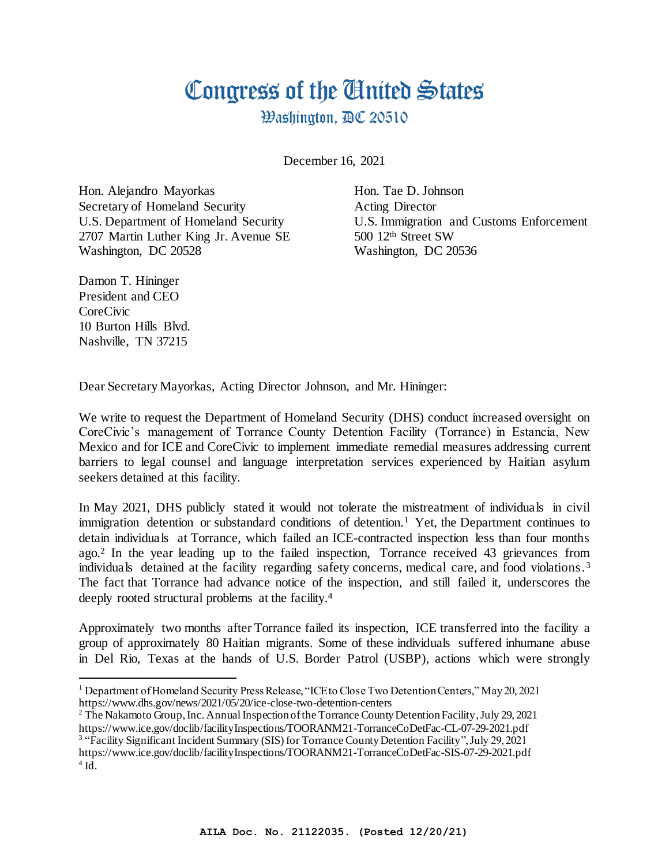## Congress of the Cinited States

**Washington, AC 20510** 

December 16, 2021

Hon. Alejandro Mayorkas Hon. Tae D. Johnson Secretary of Homeland Security **Acting Director** 2707 Martin Luther King Jr. Avenue SE 500 12<sup>th</sup> Street SW Washington, DC 20528 Washington, DC 20536

U.S. Department of Homeland Security U.S. Immigration and Customs Enforcement

Damon T. Hininger President and CEO CoreCivic 10 Burton Hills Blvd. Nashville, TN 37215

Dear Secretary Mayorkas, Acting Director Johnson, and Mr. Hininger:

We write to request the Department of Homeland Security (DHS) conduct increased oversight on CoreCivic's management of Torrance County Detention Facility (Torrance) in Estancia, New Mexico and for ICE and CoreCivic to implement immediate remedial measures addressing current barriers to legal counsel and language interpretation services experienced by Haitian asylum seekers detained at this facility.

In May 2021, DHS publicly stated it would not tolerate the mistreatment of individuals in civil immigration detention or substandard conditions of detention.<sup>1</sup> Yet, the Department continues to detain individuals at Torrance, which failed an ICE-contracted inspection less than four months ago.<sup>2</sup> In the year leading up to the failed inspection, Torrance received 43 grievances from individuals detained at the facility regarding safety concerns, medical care, and food violations.<sup>3</sup> The fact that Torrance had advance notice of the inspection, and still failed it, underscores the deeply rooted structural problems at the facility. 4

Approximately two months after Torrance failed its inspection, ICE transferred into the facility a group of approximately 80 Haitian migrants. Some of these individuals suffered inhumane abuse in Del Rio, Texas at the hands of U.S. Border Patrol (USBP), actions which were strongly

<sup>&</sup>lt;sup>1</sup> Department of Homeland Security Press Release, "ICE to Close Two Detention Centers," May 20, 2021 https://www.dhs.gov/news/2021/05/20/ice-close-two-detention-centers

<sup>&</sup>lt;sup>2</sup> The Nakamoto Group, Inc. Annual Inspection of the Torrance County Detention Facility, July 29, 2021 https://www.ice.gov/doclib/facilityInspections/TOORANM21-TorranceCoDetFac-CL-07-29-2021.pdf <sup>3</sup> "Facility Significant Incident Summary (SIS) for Torrance County Detention Facility", July 29, 2021 https://www.ice.gov/doclib/facilityInspections/TOORANM21-TorranceCoDetFac-SIS-07-29-2021.pdf

 $4$  Id.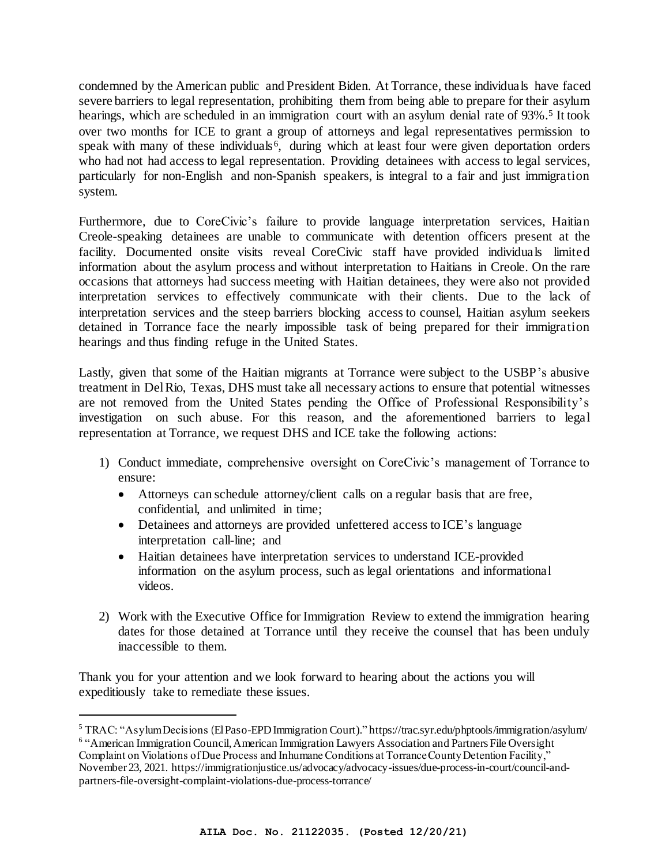condemned by the American public and President Biden. At Torrance, these individuals have faced severe barriers to legal representation, prohibiting them from being able to prepare for their asylum hearings, which are scheduled in an immigration court with an asylum denial rate of 93%.<sup>5</sup> It took over two months for ICE to grant a group of attorneys and legal representatives permission to speak with many of these individuals<sup>6</sup>, during which at least four were given deportation orders who had not had access to legal representation. Providing detainees with access to legal services, particularly for non-English and non-Spanish speakers, is integral to a fair and just immigration system.

Furthermore, due to CoreCivic's failure to provide language interpretation services, Haitian Creole-speaking detainees are unable to communicate with detention officers present at the facility. Documented onsite visits reveal CoreCivic staff have provided individuals limited information about the asylum process and without interpretation to Haitians in Creole. On the rare occasions that attorneys had success meeting with Haitian detainees, they were also not provided interpretation services to effectively communicate with their clients. Due to the lack of interpretation services and the steep barriers blocking access to counsel, Haitian asylum seekers detained in Torrance face the nearly impossible task of being prepared for their immigration hearings and thus finding refuge in the United States.

Lastly, given that some of the Haitian migrants at Torrance were subject to the USBP's abusive treatment in Del Rio, Texas, DHS must take all necessary actions to ensure that potential witnesses are not removed from the United States pending the Office of Professional Responsibility's investigation on such abuse. For this reason, and the aforementioned barriers to legal representation at Torrance, we request DHS and ICE take the following actions:

- 1) Conduct immediate, comprehensive oversight on CoreCivic's management of Torrance to ensure:
	- Attorneys can schedule attorney/client calls on a regular basis that are free, confidential, and unlimited in time;
	- Detainees and attorneys are provided unfettered access to ICE's language interpretation call-line; and
	- Haitian detainees have interpretation services to understand ICE-provided information on the asylum process, such as legal orientations and informational videos.
- 2) Work with the Executive Office for Immigration Review to extend the immigration hearing dates for those detained at Torrance until they receive the counsel that has been unduly inaccessible to them.

Thank you for your attention and we look forward to hearing about the actions you will expeditiously take to remediate these issues.

<sup>5</sup> TRAC: "Asylum Decisions (El Paso-EPD Immigration Court)." https://trac.syr.edu/phptools/immigration/asylum/ <sup>6</sup> "American Immigration Council, American Immigration Lawyers Association and Partners File Oversight Complaint on Violations of Due Process and Inhumane Conditions at Torrance County Detention Facility," November 23, 2021. https://immigrationjustice.us/advocacy/advocacy-issues/due-process-in-court/council-andpartners-file-oversight-complaint-violations-due-process-torrance/